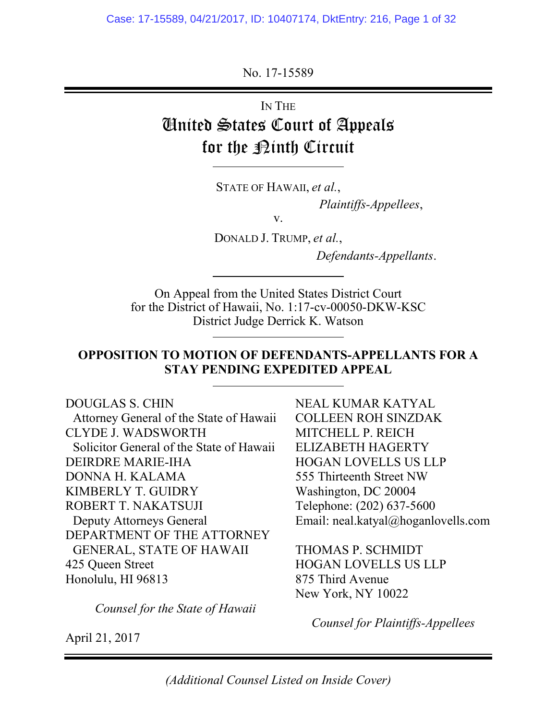No. 17-15589

IN THE United States Court of Appeals for the <u>Pinth</u> Circuit

STATE OF HAWAII, *et al.*,

*Plaintiffs-Appellees*,

v.

DONALD J. TRUMP, *et al.*,

*Defendants-Appellants*.

On Appeal from the United States District Court for the District of Hawaii, No. 1:17-cv-00050-DKW-KSC District Judge Derrick K. Watson

### **OPPOSITION TO MOTION OF DEFENDANTS-APPELLANTS FOR A STAY PENDING EXPEDITED APPEAL**

### DOUGLAS S. CHIN

Attorney General of the State of Hawaii CLYDE J. WADSWORTH Solicitor General of the State of Hawaii DEIRDRE MARIE-IHA DONNA H. KALAMA KIMBERLY T. GUIDRY ROBERT T. NAKATSUJI Deputy Attorneys General DEPARTMENT OF THE ATTORNEY GENERAL, STATE OF HAWAII 425 Queen Street Honolulu, HI 96813

*Counsel for the State of Hawaii*

NEAL KUMAR KATYAL COLLEEN ROH SINZDAK MITCHELL P. REICH ELIZABETH HAGERTY HOGAN LOVELLS US LLP 555 Thirteenth Street NW Washington, DC 20004 Telephone: (202) 637-5600 Email: neal.katyal@hoganlovells.com

THOMAS P. SCHMIDT HOGAN LOVELLS US LLP 875 Third Avenue New York, NY 10022

*Counsel for Plaintiffs-Appellees*

April 21, 2017

*(Additional Counsel Listed on Inside Cover)*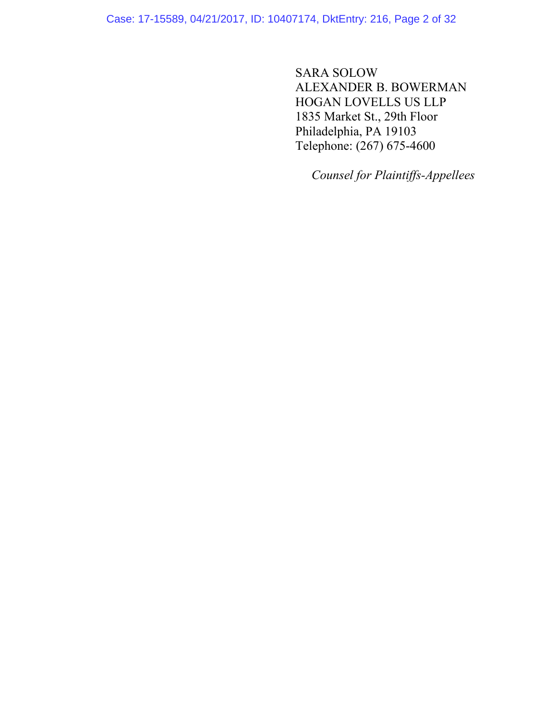Case: 17-15589, 04/21/2017, ID: 10407174, DktEntry: 216, Page 2 of 32

SARA SOLOW ALEXANDER B. BOWERMAN HOGAN LOVELLS US LLP 1835 Market St., 29th Floor Philadelphia, PA 19103 Telephone: (267) 675-4600

*Counsel for Plaintiffs-Appellees*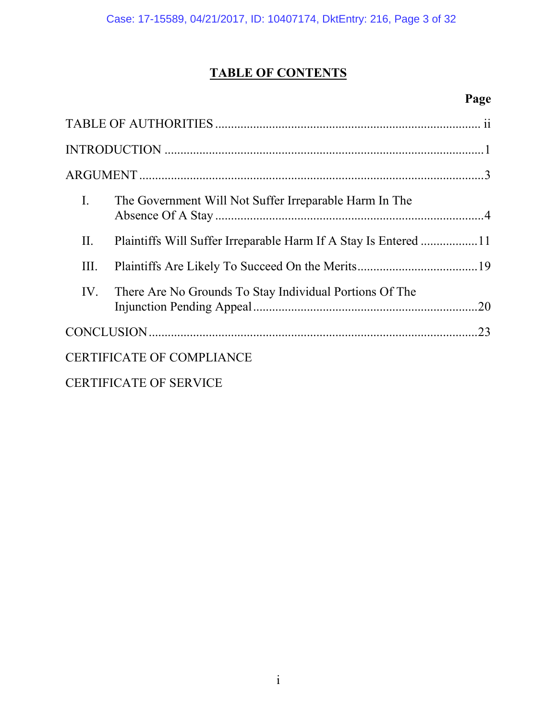# **TABLE OF CONTENTS**

## **Page**

| $\mathbf{I}$ . | The Government Will Not Suffer Irreparable Harm In The  |     |
|----------------|---------------------------------------------------------|-----|
| Π.             |                                                         |     |
| III.           |                                                         |     |
| IV.            | There Are No Grounds To Stay Individual Portions Of The |     |
|                |                                                         | .23 |
|                | <b>CERTIFICATE OF COMPLIANCE</b>                        |     |
|                | <b>CERTIFICATE OF SERVICE</b>                           |     |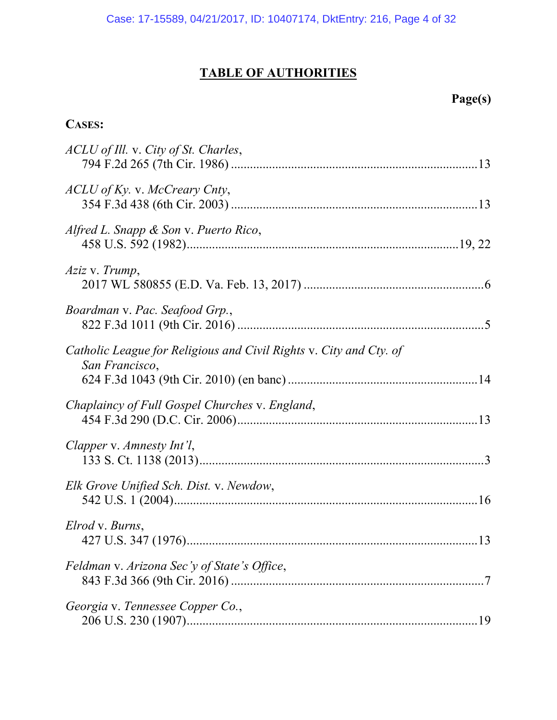# **TABLE OF AUTHORITIES**

# **Page(s)**

## **CASES:**

| ACLU of Ill. v. City of St. Charles,                                                 |
|--------------------------------------------------------------------------------------|
| ACLU of Ky. v. McCreary Cnty,                                                        |
| Alfred L. Snapp & Son v. Puerto Rico,                                                |
| Aziz v. Trump,                                                                       |
| Boardman v. Pac. Seafood Grp.,                                                       |
| Catholic League for Religious and Civil Rights v. City and Cty. of<br>San Francisco, |
| Chaplaincy of Full Gospel Churches v. England,                                       |
| Clapper v. Amnesty Int'l,                                                            |
| Elk Grove Unified Sch. Dist. v. Newdow,                                              |
| Elrod v. Burns,                                                                      |
| Feldman v. Arizona Sec'y of State's Office,                                          |
| Georgia v. Tennessee Copper Co.,                                                     |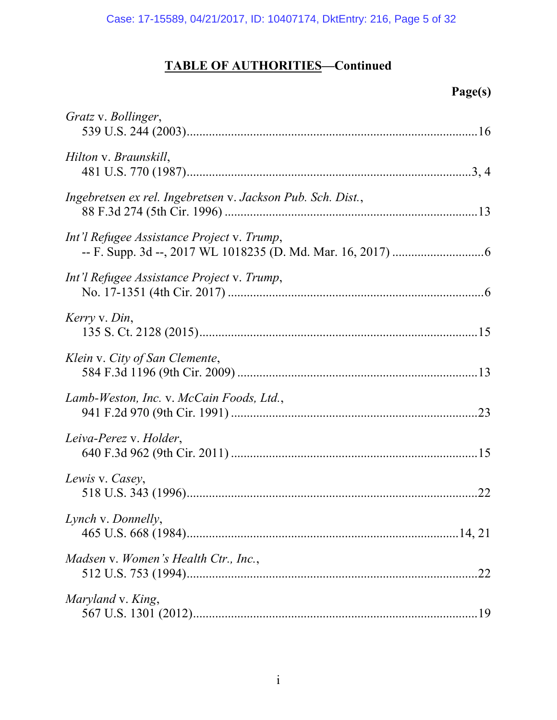# **TABLE OF AUTHORITIES—Continued**

# **Page(s)**

| Gratz v. Bollinger,                                         |  |
|-------------------------------------------------------------|--|
| Hilton v. Braunskill,                                       |  |
| Ingebretsen ex rel. Ingebretsen v. Jackson Pub. Sch. Dist., |  |
| Int'l Refugee Assistance Project v. Trump,                  |  |
| Int'l Refugee Assistance Project v. Trump,                  |  |
| Kerry v. Din,                                               |  |
| Klein v. City of San Clemente,                              |  |
| Lamb-Weston, Inc. v. McCain Foods, Ltd.,                    |  |
| Leiva-Perez v. Holder,                                      |  |
| Lewis v. Casey,                                             |  |
| Lynch v. Donnelly,                                          |  |
| Madsen v. Women's Health Ctr., Inc.,                        |  |
| Maryland v. King,                                           |  |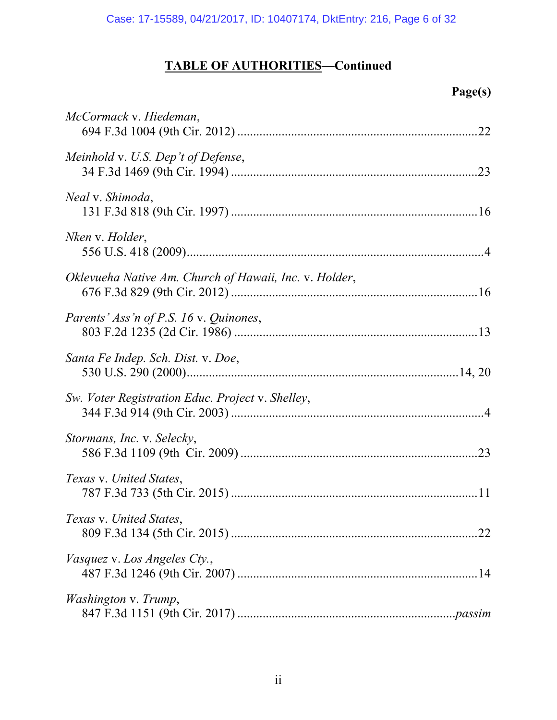# **TABLE OF AUTHORITIES—Continued**

# **Page(s)**

| McCormack v. Hiedeman,                                 |  |
|--------------------------------------------------------|--|
| Meinhold v. U.S. Dep't of Defense,                     |  |
| <i>Neal</i> v. <i>Shimoda</i> ,                        |  |
| Nken v. Holder,                                        |  |
| Oklevueha Native Am. Church of Hawaii, Inc. v. Holder, |  |
| Parents' Ass'n of P.S. 16 v. Quinones,                 |  |
| Santa Fe Indep. Sch. Dist. v. Doe,                     |  |
| Sw. Voter Registration Educ. Project v. Shelley,       |  |
| Stormans, Inc. v. Selecky,                             |  |
| Texas v. United States,                                |  |
| Texas v. United States,                                |  |
| <i>Vasquez v. Los Angeles Cty.,</i>                    |  |
| <i>Washington v. Trump,</i>                            |  |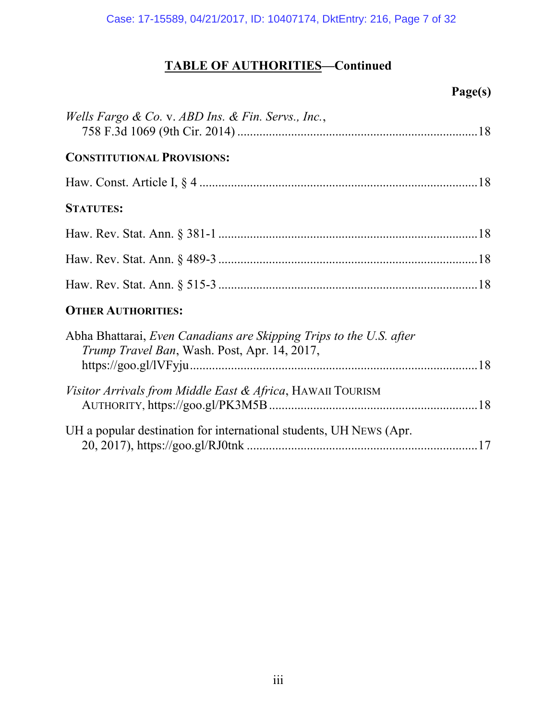# **TABLE OF AUTHORITIES—Continued**

# **Page(s)**

| <i>Wells Fargo &amp; Co. v. ABD Ins. &amp; Fin. Servs., Inc.,</i>                                                           |  |
|-----------------------------------------------------------------------------------------------------------------------------|--|
| <b>CONSTITUTIONAL PROVISIONS:</b>                                                                                           |  |
|                                                                                                                             |  |
| <b>STATUTES:</b>                                                                                                            |  |
|                                                                                                                             |  |
|                                                                                                                             |  |
|                                                                                                                             |  |
| <b>OTHER AUTHORITIES:</b>                                                                                                   |  |
| Abha Bhattarai, Even Canadians are Skipping Trips to the U.S. after<br><i>Trump Travel Ban</i> , Wash. Post, Apr. 14, 2017, |  |
|                                                                                                                             |  |
| <i>Visitor Arrivals from Middle East &amp; Africa</i> , HAWAII TOURISM                                                      |  |
| UH a popular destination for international students, UH NEWS (Apr.                                                          |  |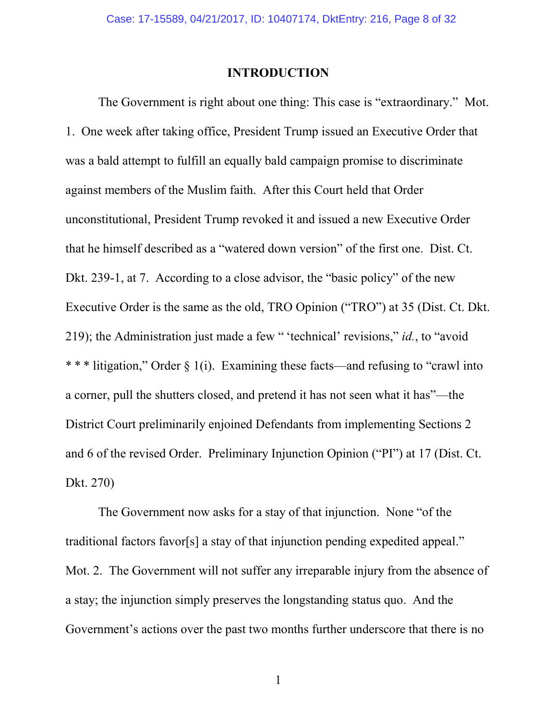### **INTRODUCTION**

The Government is right about one thing: This case is "extraordinary." Mot. 1. One week after taking office, President Trump issued an Executive Order that was a bald attempt to fulfill an equally bald campaign promise to discriminate against members of the Muslim faith. After this Court held that Order unconstitutional, President Trump revoked it and issued a new Executive Order that he himself described as a "watered down version" of the first one. Dist. Ct. Dkt. 239-1, at 7. According to a close advisor, the "basic policy" of the new Executive Order is the same as the old, TRO Opinion ("TRO") at 35 (Dist. Ct. Dkt. 219); the Administration just made a few " 'technical' revisions," *id.*, to "avoid \* \* \* litigation," Order § 1(i). Examining these facts—and refusing to "crawl into a corner, pull the shutters closed, and pretend it has not seen what it has"—the District Court preliminarily enjoined Defendants from implementing Sections 2 and 6 of the revised Order. Preliminary Injunction Opinion ("PI") at 17 (Dist. Ct. Dkt. 270)

The Government now asks for a stay of that injunction. None "of the traditional factors favor[s] a stay of that injunction pending expedited appeal." Mot. 2. The Government will not suffer any irreparable injury from the absence of a stay; the injunction simply preserves the longstanding status quo. And the Government's actions over the past two months further underscore that there is no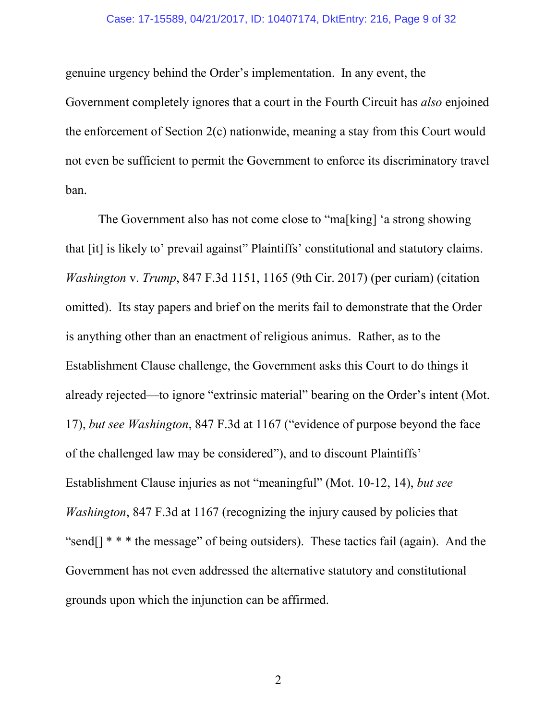### Case: 17-15589, 04/21/2017, ID: 10407174, DktEntry: 216, Page 9 of 32

genuine urgency behind the Order's implementation. In any event, the Government completely ignores that a court in the Fourth Circuit has *also* enjoined the enforcement of Section 2(c) nationwide, meaning a stay from this Court would not even be sufficient to permit the Government to enforce its discriminatory travel ban.

The Government also has not come close to "ma[king] 'a strong showing that [it] is likely to' prevail against" Plaintiffs' constitutional and statutory claims. *Washington* v. *Trump*, 847 F.3d 1151, 1165 (9th Cir. 2017) (per curiam) (citation omitted). Its stay papers and brief on the merits fail to demonstrate that the Order is anything other than an enactment of religious animus. Rather, as to the Establishment Clause challenge, the Government asks this Court to do things it already rejected—to ignore "extrinsic material" bearing on the Order's intent (Mot. 17), *but see Washington*, 847 F.3d at 1167 ("evidence of purpose beyond the face of the challenged law may be considered"), and to discount Plaintiffs' Establishment Clause injuries as not "meaningful" (Mot. 10-12, 14), *but see Washington*, 847 F.3d at 1167 (recognizing the injury caused by policies that "send[] \* \* \* the message" of being outsiders). These tactics fail (again). And the Government has not even addressed the alternative statutory and constitutional grounds upon which the injunction can be affirmed.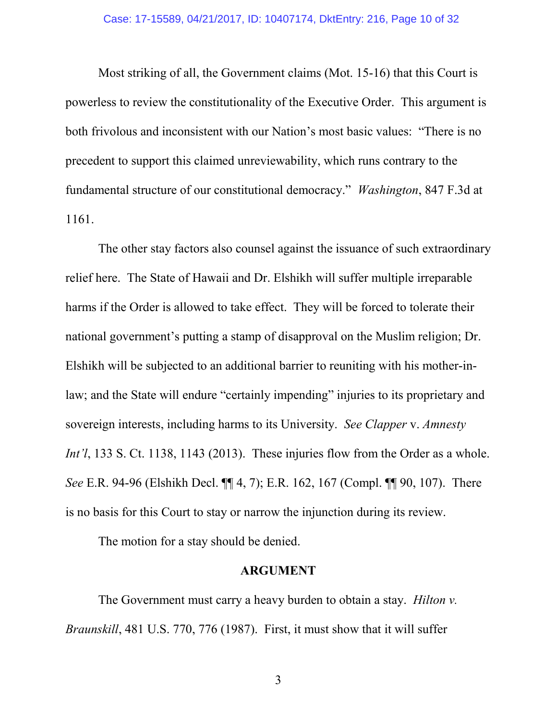Most striking of all, the Government claims (Mot. 15-16) that this Court is powerless to review the constitutionality of the Executive Order. This argument is both frivolous and inconsistent with our Nation's most basic values: "There is no precedent to support this claimed unreviewability, which runs contrary to the fundamental structure of our constitutional democracy." *Washington*, 847 F.3d at 1161.

The other stay factors also counsel against the issuance of such extraordinary relief here. The State of Hawaii and Dr. Elshikh will suffer multiple irreparable harms if the Order is allowed to take effect. They will be forced to tolerate their national government's putting a stamp of disapproval on the Muslim religion; Dr. Elshikh will be subjected to an additional barrier to reuniting with his mother-inlaw; and the State will endure "certainly impending" injuries to its proprietary and sovereign interests, including harms to its University. *See Clapper* v. *Amnesty Int'l*, 133 S. Ct. 1138, 1143 (2013). These injuries flow from the Order as a whole. *See* E.R. 94-96 (Elshikh Decl. ¶¶ 4, 7); E.R. 162, 167 (Compl. ¶¶ 90, 107). There is no basis for this Court to stay or narrow the injunction during its review.

The motion for a stay should be denied.

### **ARGUMENT**

The Government must carry a heavy burden to obtain a stay. *Hilton v. Braunskill*, 481 U.S. 770, 776 (1987). First, it must show that it will suffer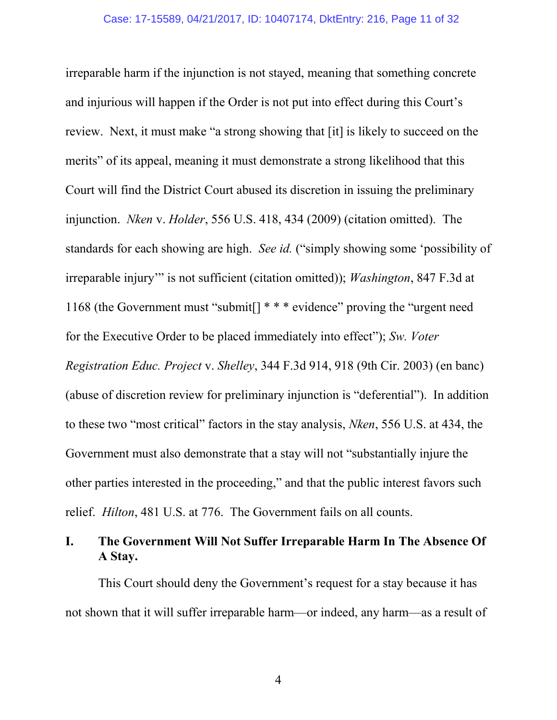irreparable harm if the injunction is not stayed, meaning that something concrete and injurious will happen if the Order is not put into effect during this Court's review. Next, it must make "a strong showing that [it] is likely to succeed on the merits" of its appeal, meaning it must demonstrate a strong likelihood that this Court will find the District Court abused its discretion in issuing the preliminary injunction. *Nken* v. *Holder*, 556 U.S. 418, 434 (2009) (citation omitted). The standards for each showing are high. *See id.* ("simply showing some 'possibility of irreparable injury'" is not sufficient (citation omitted)); *Washington*, 847 F.3d at 1168 (the Government must "submit[] \* \* \* evidence" proving the "urgent need for the Executive Order to be placed immediately into effect"); *Sw. Voter Registration Educ. Project* v. *Shelley*, 344 F.3d 914, 918 (9th Cir. 2003) (en banc) (abuse of discretion review for preliminary injunction is "deferential"). In addition to these two "most critical" factors in the stay analysis, *Nken*, 556 U.S. at 434, the Government must also demonstrate that a stay will not "substantially injure the other parties interested in the proceeding," and that the public interest favors such relief. *Hilton*, 481 U.S. at 776. The Government fails on all counts.

## **I. The Government Will Not Suffer Irreparable Harm In The Absence Of A Stay.**

This Court should deny the Government's request for a stay because it has not shown that it will suffer irreparable harm—or indeed, any harm—as a result of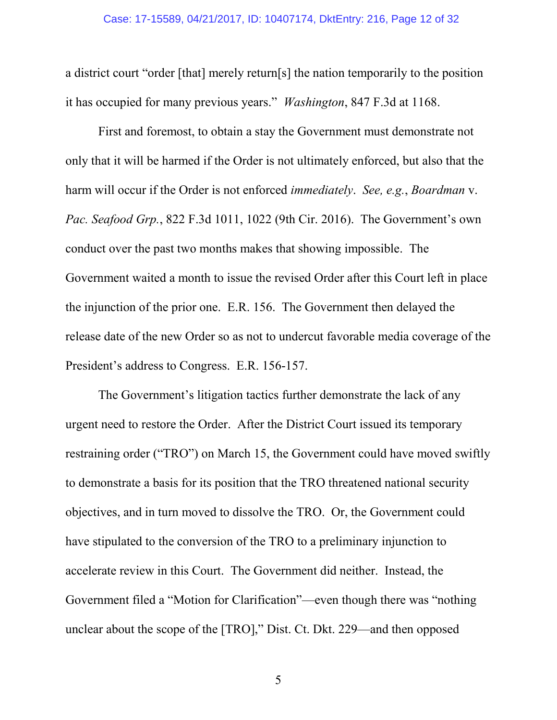a district court "order [that] merely return[s] the nation temporarily to the position it has occupied for many previous years." *Washington*, 847 F.3d at 1168.

First and foremost, to obtain a stay the Government must demonstrate not only that it will be harmed if the Order is not ultimately enforced, but also that the harm will occur if the Order is not enforced *immediately*. *See, e.g.*, *Boardman* v. *Pac. Seafood Grp.*, 822 F.3d 1011, 1022 (9th Cir. 2016). The Government's own conduct over the past two months makes that showing impossible. The Government waited a month to issue the revised Order after this Court left in place the injunction of the prior one. E.R. 156. The Government then delayed the release date of the new Order so as not to undercut favorable media coverage of the President's address to Congress. E.R. 156-157.

The Government's litigation tactics further demonstrate the lack of any urgent need to restore the Order. After the District Court issued its temporary restraining order ("TRO") on March 15, the Government could have moved swiftly to demonstrate a basis for its position that the TRO threatened national security objectives, and in turn moved to dissolve the TRO. Or, the Government could have stipulated to the conversion of the TRO to a preliminary injunction to accelerate review in this Court. The Government did neither. Instead, the Government filed a "Motion for Clarification"—even though there was "nothing unclear about the scope of the [TRO]," Dist. Ct. Dkt. 229—and then opposed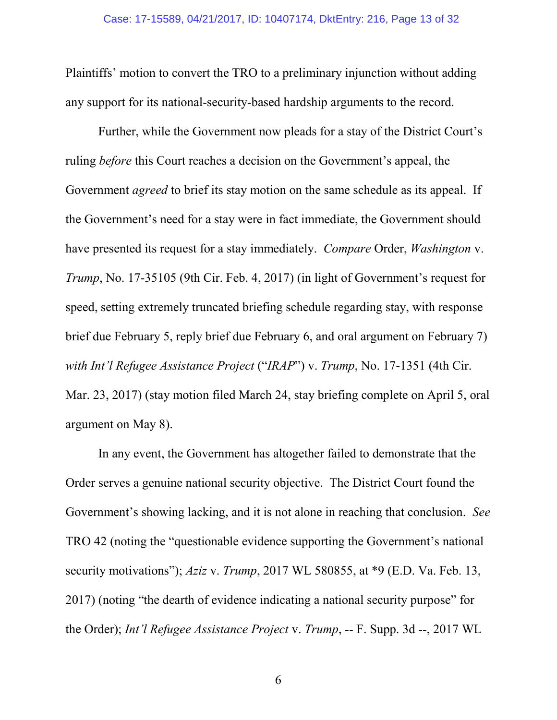Plaintiffs' motion to convert the TRO to a preliminary injunction without adding any support for its national-security-based hardship arguments to the record.

Further, while the Government now pleads for a stay of the District Court's ruling *before* this Court reaches a decision on the Government's appeal, the Government *agreed* to brief its stay motion on the same schedule as its appeal. If the Government's need for a stay were in fact immediate, the Government should have presented its request for a stay immediately. *Compare* Order, *Washington* v. *Trump*, No. 17-35105 (9th Cir. Feb. 4, 2017) (in light of Government's request for speed, setting extremely truncated briefing schedule regarding stay, with response brief due February 5, reply brief due February 6, and oral argument on February 7) *with Int'l Refugee Assistance Project* ("*IRAP*") v. *Trump*, No. 17-1351 (4th Cir. Mar. 23, 2017) (stay motion filed March 24, stay briefing complete on April 5, oral argument on May 8).

In any event, the Government has altogether failed to demonstrate that the Order serves a genuine national security objective. The District Court found the Government's showing lacking, and it is not alone in reaching that conclusion. *See* TRO 42 (noting the "questionable evidence supporting the Government's national security motivations"); *Aziz* v. *Trump*, 2017 WL 580855, at \*9 (E.D. Va. Feb. 13, 2017) (noting "the dearth of evidence indicating a national security purpose" for the Order); *Int'l Refugee Assistance Project* v. *Trump*, -- F. Supp. 3d --, 2017 WL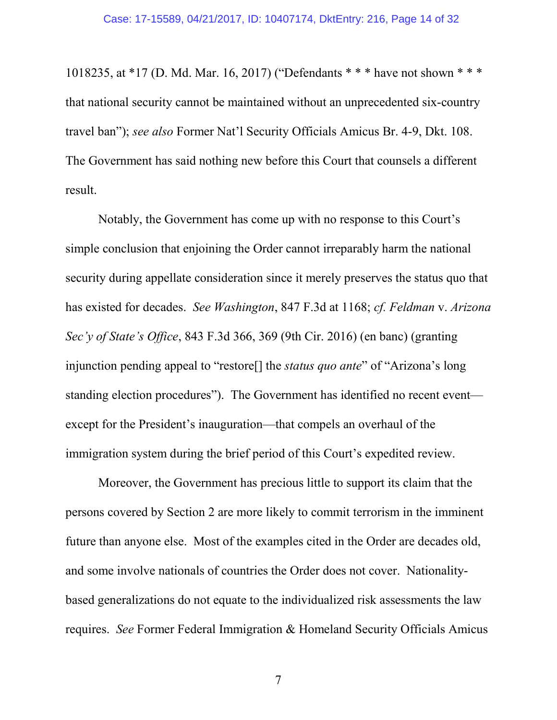1018235, at \*17 (D. Md. Mar. 16, 2017) ("Defendants \* \* \* have not shown \* \* \* that national security cannot be maintained without an unprecedented six-country travel ban"); *see also* Former Nat'l Security Officials Amicus Br. 4-9, Dkt. 108. The Government has said nothing new before this Court that counsels a different result.

Notably, the Government has come up with no response to this Court's simple conclusion that enjoining the Order cannot irreparably harm the national security during appellate consideration since it merely preserves the status quo that has existed for decades. *See Washington*, 847 F.3d at 1168; *cf. Feldman* v. *Arizona Sec'y of State's Office*, 843 F.3d 366, 369 (9th Cir. 2016) (en banc) (granting injunction pending appeal to "restore[] the *status quo ante*" of "Arizona's long standing election procedures"). The Government has identified no recent event except for the President's inauguration—that compels an overhaul of the immigration system during the brief period of this Court's expedited review.

Moreover, the Government has precious little to support its claim that the persons covered by Section 2 are more likely to commit terrorism in the imminent future than anyone else. Most of the examples cited in the Order are decades old, and some involve nationals of countries the Order does not cover. Nationalitybased generalizations do not equate to the individualized risk assessments the law requires. *See* Former Federal Immigration & Homeland Security Officials Amicus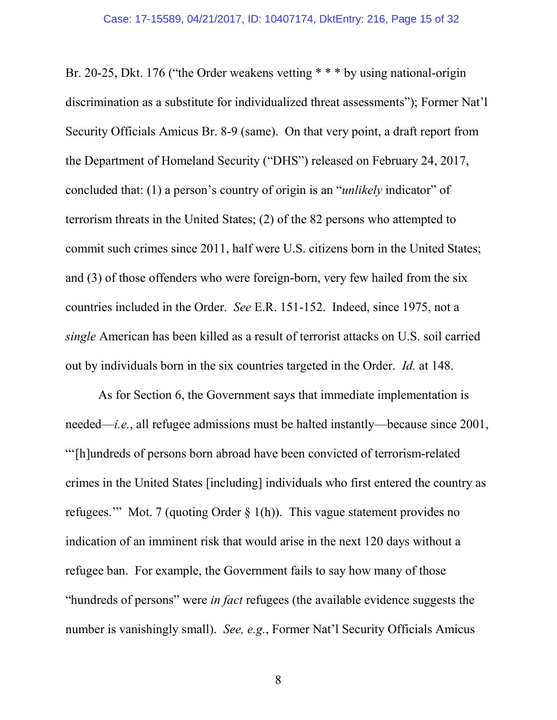Br. 20-25, Dkt. 176 ("the Order weakens vetting \* \* \* by using national-origin discrimination as a substitute for individualized threat assessments"); Former Nat'l Security Officials Amicus Br. 8-9 (same). On that very point, a draft report from the Department of Homeland Security ("DHS") released on February 24, 2017, concluded that: (1) a person's country of origin is an "*unlikely* indicator" of terrorism threats in the United States; (2) of the 82 persons who attempted to commit such crimes since 2011, half were U.S. citizens born in the United States; and (3) of those offenders who were foreign-born, very few hailed from the six countries included in the Order. *See* E.R. 151-152. Indeed, since 1975, not a *single* American has been killed as a result of terrorist attacks on U.S. soil carried out by individuals born in the six countries targeted in the Order. *Id.* at 148.

As for Section 6, the Government says that immediate implementation is needed—*i.e.*, all refugee admissions must be halted instantly—because since 2001, "'[h]undreds of persons born abroad have been convicted of terrorism-related crimes in the United States [including] individuals who first entered the country as refugees.'" Mot. 7 (quoting Order  $\S$  1(h)). This vague statement provides no indication of an imminent risk that would arise in the next 120 days without a refugee ban. For example, the Government fails to say how many of those "hundreds of persons" were *in fact* refugees (the available evidence suggests the number is vanishingly small). *See, e.g.*, Former Nat'l Security Officials Amicus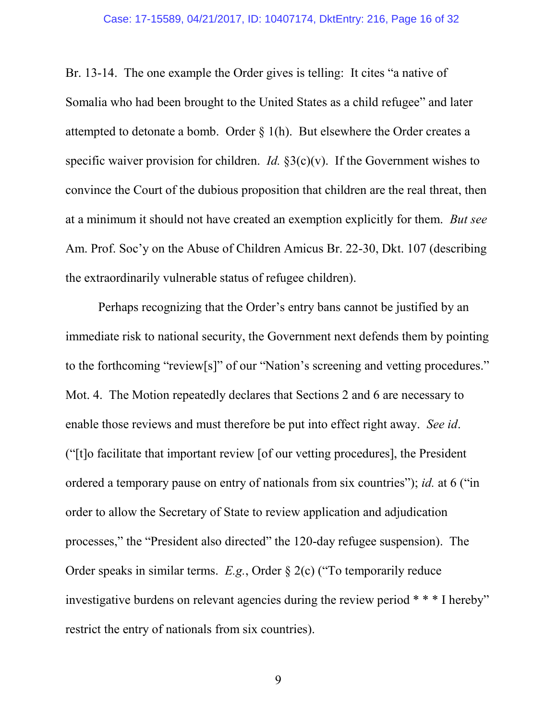#### Case: 17-15589, 04/21/2017, ID: 10407174, DktEntry: 216, Page 16 of 32

Br. 13-14. The one example the Order gives is telling: It cites "a native of Somalia who had been brought to the United States as a child refugee" and later attempted to detonate a bomb. Order § 1(h). But elsewhere the Order creates a specific waiver provision for children. *Id.*  $\S3(c)(v)$ . If the Government wishes to convince the Court of the dubious proposition that children are the real threat, then at a minimum it should not have created an exemption explicitly for them. *But see* Am. Prof. Soc'y on the Abuse of Children Amicus Br. 22-30, Dkt. 107 (describing the extraordinarily vulnerable status of refugee children).

Perhaps recognizing that the Order's entry bans cannot be justified by an immediate risk to national security, the Government next defends them by pointing to the forthcoming "review[s]" of our "Nation's screening and vetting procedures." Mot. 4. The Motion repeatedly declares that Sections 2 and 6 are necessary to enable those reviews and must therefore be put into effect right away. *See id*. ("[t]o facilitate that important review [of our vetting procedures], the President ordered a temporary pause on entry of nationals from six countries"); *id.* at 6 ("in order to allow the Secretary of State to review application and adjudication processes," the "President also directed" the 120-day refugee suspension). The Order speaks in similar terms. *E.g.*, Order § 2(c) ("To temporarily reduce investigative burdens on relevant agencies during the review period \* \* \* I hereby" restrict the entry of nationals from six countries).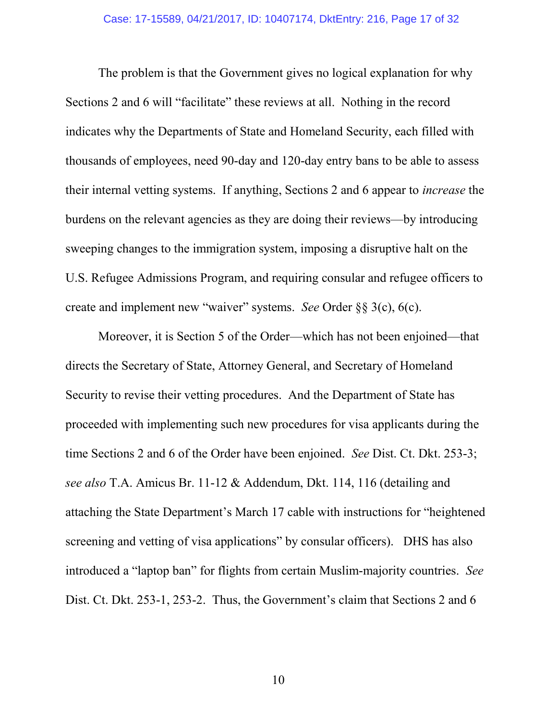The problem is that the Government gives no logical explanation for why Sections 2 and 6 will "facilitate" these reviews at all. Nothing in the record indicates why the Departments of State and Homeland Security, each filled with thousands of employees, need 90-day and 120-day entry bans to be able to assess their internal vetting systems. If anything, Sections 2 and 6 appear to *increase* the burdens on the relevant agencies as they are doing their reviews—by introducing sweeping changes to the immigration system, imposing a disruptive halt on the U.S. Refugee Admissions Program, and requiring consular and refugee officers to create and implement new "waiver" systems. *See* Order §§ 3(c), 6(c).

Moreover, it is Section 5 of the Order—which has not been enjoined—that directs the Secretary of State, Attorney General, and Secretary of Homeland Security to revise their vetting procedures. And the Department of State has proceeded with implementing such new procedures for visa applicants during the time Sections 2 and 6 of the Order have been enjoined. *See* Dist. Ct. Dkt. 253-3; *see also* T.A. Amicus Br. 11-12 & Addendum, Dkt. 114, 116 (detailing and attaching the State Department's March 17 cable with instructions for "heightened screening and vetting of visa applications" by consular officers). DHS has also introduced a "laptop ban" for flights from certain Muslim-majority countries. *See* Dist. Ct. Dkt. 253-1, 253-2. Thus, the Government's claim that Sections 2 and 6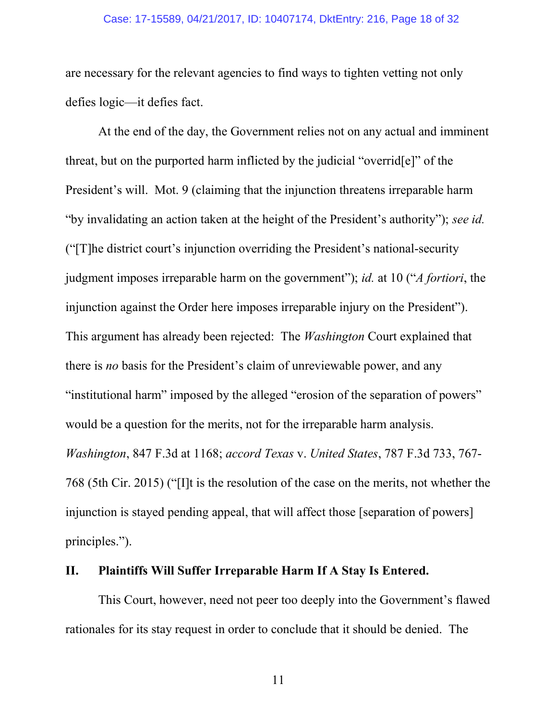#### Case: 17-15589, 04/21/2017, ID: 10407174, DktEntry: 216, Page 18 of 32

are necessary for the relevant agencies to find ways to tighten vetting not only defies logic—it defies fact.

At the end of the day, the Government relies not on any actual and imminent threat, but on the purported harm inflicted by the judicial "overrid[e]" of the President's will. Mot. 9 (claiming that the injunction threatens irreparable harm "by invalidating an action taken at the height of the President's authority"); *see id.* ("[T]he district court's injunction overriding the President's national-security judgment imposes irreparable harm on the government"); *id.* at 10 ("*A fortiori*, the injunction against the Order here imposes irreparable injury on the President"). This argument has already been rejected: The *Washington* Court explained that there is *no* basis for the President's claim of unreviewable power, and any "institutional harm" imposed by the alleged "erosion of the separation of powers" would be a question for the merits, not for the irreparable harm analysis. *Washington*, 847 F.3d at 1168; *accord Texas* v. *United States*, 787 F.3d 733, 767- 768 (5th Cir. 2015) ("[I]t is the resolution of the case on the merits, not whether the injunction is stayed pending appeal, that will affect those [separation of powers] principles.").

### **II. Plaintiffs Will Suffer Irreparable Harm If A Stay Is Entered.**

This Court, however, need not peer too deeply into the Government's flawed rationales for its stay request in order to conclude that it should be denied. The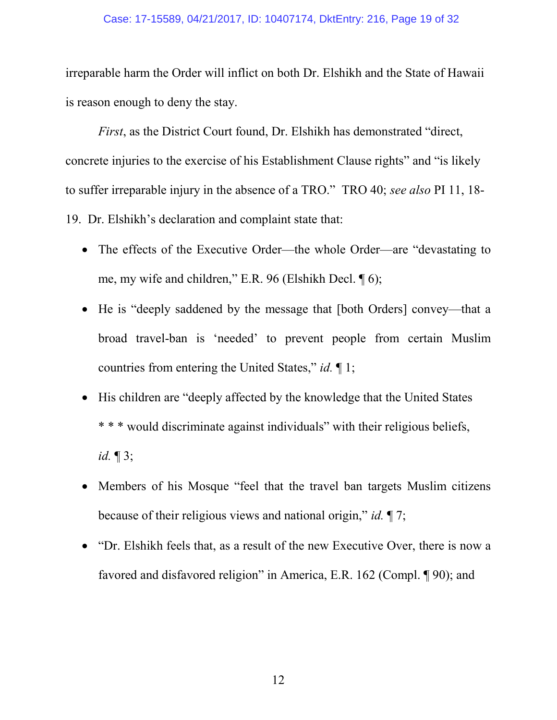### Case: 17-15589, 04/21/2017, ID: 10407174, DktEntry: 216, Page 19 of 32

irreparable harm the Order will inflict on both Dr. Elshikh and the State of Hawaii is reason enough to deny the stay.

*First*, as the District Court found, Dr. Elshikh has demonstrated "direct, concrete injuries to the exercise of his Establishment Clause rights" and "is likely to suffer irreparable injury in the absence of a TRO." TRO 40; *see also* PI 11, 18- 19. Dr. Elshikh's declaration and complaint state that:

- The effects of the Executive Order—the whole Order—are "devastating to me, my wife and children," E.R. 96 (Elshikh Decl. ¶ 6);
- He is "deeply saddened by the message that [both Orders] convey—that a broad travel-ban is 'needed' to prevent people from certain Muslim countries from entering the United States," *id.* ¶ 1;
- His children are "deeply affected by the knowledge that the United States" \* \* \* would discriminate against individuals" with their religious beliefs, *id.* ¶ 3;
- Members of his Mosque "feel that the travel ban targets Muslim citizens" because of their religious views and national origin," *id.* ¶ 7;
- "Dr. Elshikh feels that, as a result of the new Executive Over, there is now a favored and disfavored religion" in America, E.R. 162 (Compl. ¶ 90); and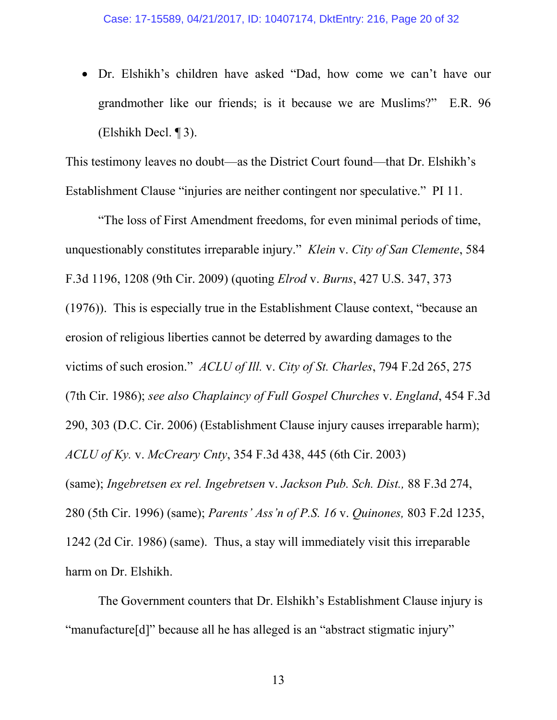Dr. Elshikh's children have asked "Dad, how come we can't have our grandmother like our friends; is it because we are Muslims?" E.R. 96 (Elshikh Decl. ¶ 3).

This testimony leaves no doubt—as the District Court found—that Dr. Elshikh's Establishment Clause "injuries are neither contingent nor speculative." PI 11.

"The loss of First Amendment freedoms, for even minimal periods of time, unquestionably constitutes irreparable injury." *Klein* v. *City of San Clemente*, 584 F.3d 1196, 1208 (9th Cir. 2009) (quoting *Elrod* v. *Burns*, 427 U.S. 347, 373 (1976)). This is especially true in the Establishment Clause context, "because an erosion of religious liberties cannot be deterred by awarding damages to the victims of such erosion." *ACLU of Ill.* v. *City of St. Charles*, 794 F.2d 265, 275 (7th Cir. 1986); *see also Chaplaincy of Full Gospel Churches* v. *England*, 454 F.3d 290, 303 (D.C. Cir. 2006) (Establishment Clause injury causes irreparable harm); *ACLU of Ky.* v. *McCreary Cnty*, 354 F.3d 438, 445 (6th Cir. 2003) (same); *Ingebretsen ex rel. Ingebretsen* v. *Jackson Pub. Sch. Dist.,* 88 F.3d 274, 280 (5th Cir. 1996) (same); *Parents' Ass'n of P.S. 16* v. *Quinones,* 803 F.2d 1235, 1242 (2d Cir. 1986) (same). Thus, a stay will immediately visit this irreparable harm on Dr. Elshikh.

The Government counters that Dr. Elshikh's Establishment Clause injury is "manufacture[d]" because all he has alleged is an "abstract stigmatic injury"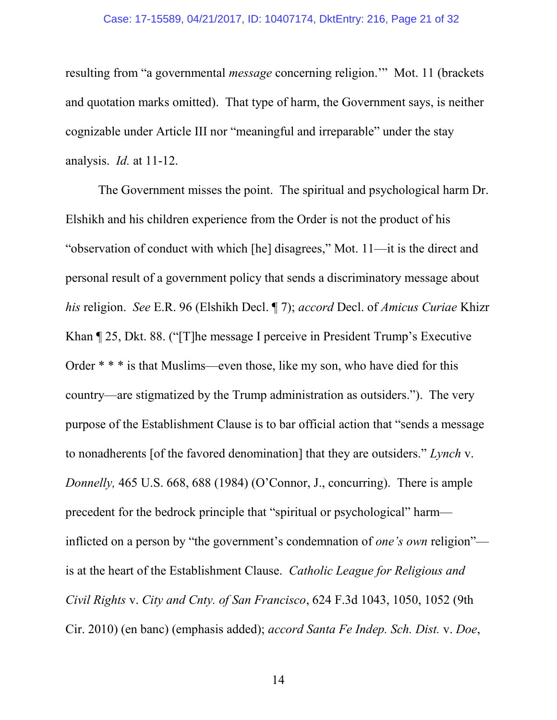### Case: 17-15589, 04/21/2017, ID: 10407174, DktEntry: 216, Page 21 of 32

resulting from "a governmental *message* concerning religion.'" Mot. 11 (brackets and quotation marks omitted). That type of harm, the Government says, is neither cognizable under Article III nor "meaningful and irreparable" under the stay analysis. *Id.* at 11-12.

The Government misses the point. The spiritual and psychological harm Dr. Elshikh and his children experience from the Order is not the product of his "observation of conduct with which [he] disagrees," Mot. 11—it is the direct and personal result of a government policy that sends a discriminatory message about *his* religion. *See* E.R. 96 (Elshikh Decl. ¶ 7); *accord* Decl. of *Amicus Curiae* Khizr Khan ¶ 25, Dkt. 88. ("[T]he message I perceive in President Trump's Executive Order \* \* \* is that Muslims—even those, like my son, who have died for this country—are stigmatized by the Trump administration as outsiders."). The very purpose of the Establishment Clause is to bar official action that "sends a message to nonadherents [of the favored denomination] that they are outsiders." *Lynch* v. *Donnelly,* 465 U.S. 668, 688 (1984) (O'Connor, J., concurring). There is ample precedent for the bedrock principle that "spiritual or psychological" harm inflicted on a person by "the government's condemnation of *one's own* religion" is at the heart of the Establishment Clause. *Catholic League for Religious and Civil Rights* v. *City and Cnty. of San Francisco*, 624 F.3d 1043, 1050, 1052 (9th Cir. 2010) (en banc) (emphasis added); *accord Santa Fe Indep. Sch. Dist.* v. *Doe*,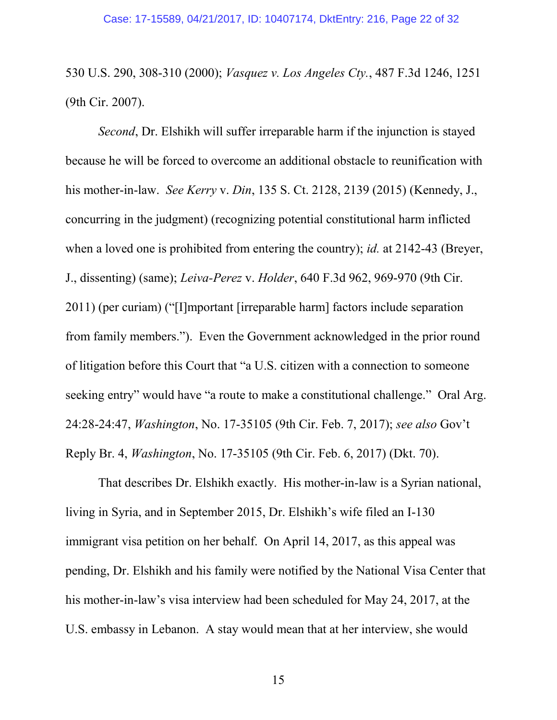530 U.S. 290, 308-310 (2000); *Vasquez v. Los Angeles Cty.*, 487 F.3d 1246, 1251 (9th Cir. 2007).

*Second*, Dr. Elshikh will suffer irreparable harm if the injunction is stayed because he will be forced to overcome an additional obstacle to reunification with his mother-in-law. *See Kerry* v. *Din*, 135 S. Ct. 2128, 2139 (2015) (Kennedy, J., concurring in the judgment) (recognizing potential constitutional harm inflicted when a loved one is prohibited from entering the country); *id.* at 2142-43 (Breyer, J., dissenting) (same); *Leiva-Perez* v. *Holder*, 640 F.3d 962, 969-970 (9th Cir. 2011) (per curiam) ("[I]mportant [irreparable harm] factors include separation from family members."). Even the Government acknowledged in the prior round of litigation before this Court that "a U.S. citizen with a connection to someone seeking entry" would have "a route to make a constitutional challenge." Oral Arg. 24:28-24:47, *Washington*, No. 17-35105 (9th Cir. Feb. 7, 2017); *see also* Gov't Reply Br. 4, *Washington*, No. 17-35105 (9th Cir. Feb. 6, 2017) (Dkt. 70).

That describes Dr. Elshikh exactly. His mother-in-law is a Syrian national, living in Syria, and in September 2015, Dr. Elshikh's wife filed an I-130 immigrant visa petition on her behalf. On April 14, 2017, as this appeal was pending, Dr. Elshikh and his family were notified by the National Visa Center that his mother-in-law's visa interview had been scheduled for May 24, 2017, at the U.S. embassy in Lebanon. A stay would mean that at her interview, she would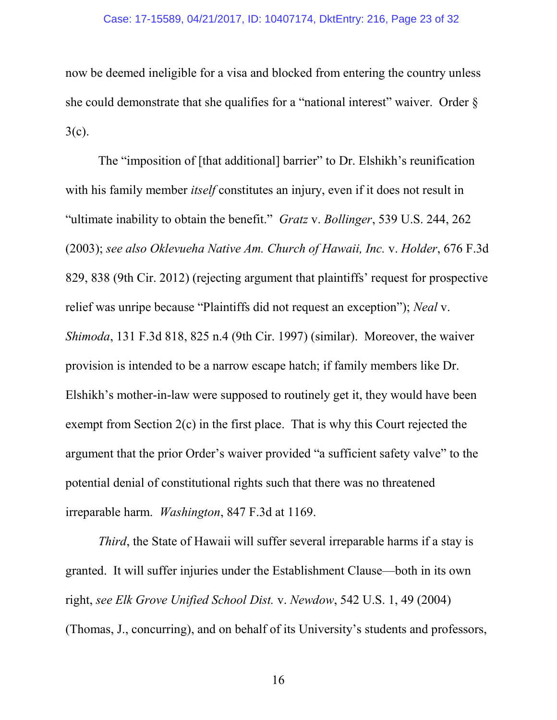now be deemed ineligible for a visa and blocked from entering the country unless she could demonstrate that she qualifies for a "national interest" waiver. Order  $\delta$  $3(c)$ .

The "imposition of [that additional] barrier" to Dr. Elshikh's reunification with his family member *itself* constitutes an injury, even if it does not result in "ultimate inability to obtain the benefit." *Gratz* v. *Bollinger*, 539 U.S. 244, 262 (2003); *see also Oklevueha Native Am. Church of Hawaii, Inc.* v. *Holder*, 676 F.3d 829, 838 (9th Cir. 2012) (rejecting argument that plaintiffs' request for prospective relief was unripe because "Plaintiffs did not request an exception"); *Neal* v. *Shimoda*, 131 F.3d 818, 825 n.4 (9th Cir. 1997) (similar). Moreover, the waiver provision is intended to be a narrow escape hatch; if family members like Dr. Elshikh's mother-in-law were supposed to routinely get it, they would have been exempt from Section 2(c) in the first place. That is why this Court rejected the argument that the prior Order's waiver provided "a sufficient safety valve" to the potential denial of constitutional rights such that there was no threatened irreparable harm. *Washington*, 847 F.3d at 1169.

*Third*, the State of Hawaii will suffer several irreparable harms if a stay is granted. It will suffer injuries under the Establishment Clause—both in its own right, *see Elk Grove Unified School Dist.* v. *Newdow*, 542 U.S. 1, 49 (2004) (Thomas, J., concurring), and on behalf of its University's students and professors,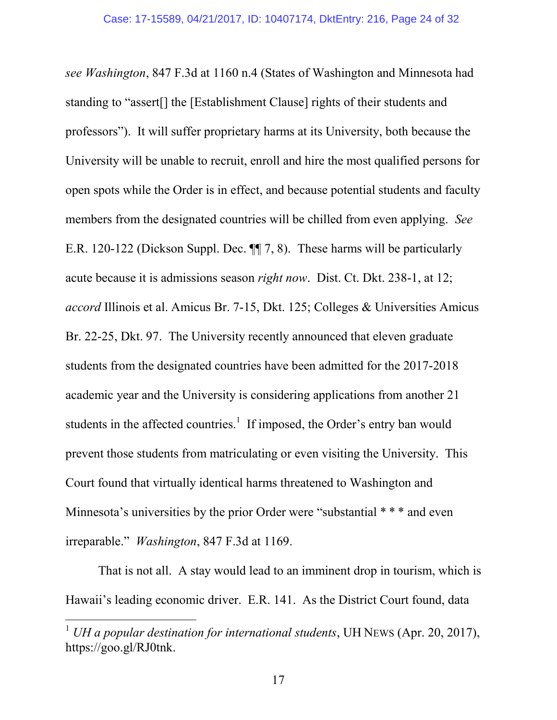*see Washington*, 847 F.3d at 1160 n.4 (States of Washington and Minnesota had standing to "assert[] the [Establishment Clause] rights of their students and professors"). It will suffer proprietary harms at its University, both because the University will be unable to recruit, enroll and hire the most qualified persons for open spots while the Order is in effect, and because potential students and faculty members from the designated countries will be chilled from even applying. *See* E.R. 120-122 (Dickson Suppl. Dec. ¶¶ 7, 8). These harms will be particularly acute because it is admissions season *right now*. Dist. Ct. Dkt. 238-1, at 12; *accord* Illinois et al. Amicus Br. 7-15, Dkt. 125; Colleges & Universities Amicus Br. 22-25, Dkt. 97. The University recently announced that eleven graduate students from the designated countries have been admitted for the 2017-2018 academic year and the University is considering applications from another 21 students in the affected countries.<sup>1</sup> If imposed, the Order's entry ban would prevent those students from matriculating or even visiting the University. This Court found that virtually identical harms threatened to Washington and Minnesota's universities by the prior Order were "substantial  $***$  and even irreparable." *Washington*, 847 F.3d at 1169.

That is not all. A stay would lead to an imminent drop in tourism, which is Hawaii's leading economic driver. E.R. 141. As the District Court found, data

<sup>1</sup> *UH a popular destination for international students*, UH NEWS (Apr. 20, 2017), https://goo.gl/RJ0tnk.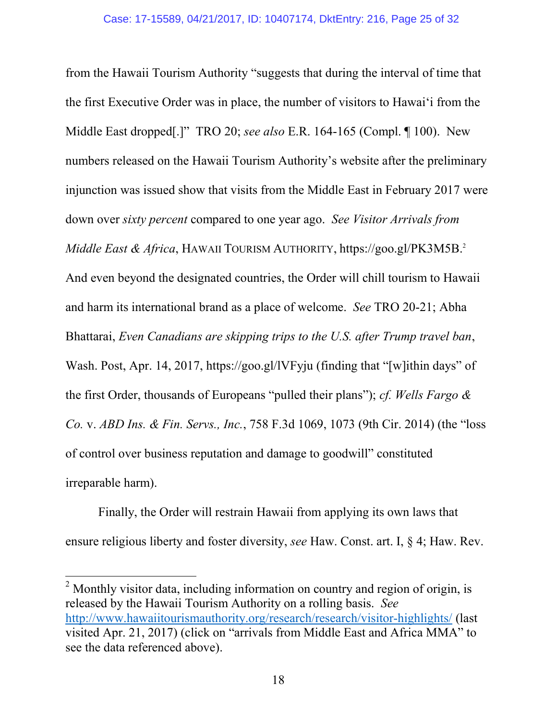from the Hawaii Tourism Authority "suggests that during the interval of time that the first Executive Order was in place, the number of visitors to Hawai'i from the Middle East dropped[.]" TRO 20; *see also* E.R. 164-165 (Compl. ¶ 100). New numbers released on the Hawaii Tourism Authority's website after the preliminary injunction was issued show that visits from the Middle East in February 2017 were down over *sixty percent* compared to one year ago. *See Visitor Arrivals from Middle East & Africa*, HAWAII TOURISM AUTHORITY, https://goo.gl/PK3M5B.<sup>2</sup> And even beyond the designated countries, the Order will chill tourism to Hawaii and harm its international brand as a place of welcome. *See* TRO 20-21; Abha Bhattarai, *Even Canadians are skipping trips to the U.S. after Trump travel ban*, Wash. Post, Apr. 14, 2017, https://goo.gl/lVFyju (finding that "[w]ithin days" of the first Order, thousands of Europeans "pulled their plans"); *cf. Wells Fargo & Co.* v. *ABD Ins. & Fin. Servs., Inc.*, 758 F.3d 1069, 1073 (9th Cir. 2014) (the "loss of control over business reputation and damage to goodwill" constituted irreparable harm).

Finally, the Order will restrain Hawaii from applying its own laws that ensure religious liberty and foster diversity, *see* Haw. Const. art. I, § 4; Haw. Rev.

<sup>&</sup>lt;sup>2</sup> Monthly visitor data, including information on country and region of origin, is released by the Hawaii Tourism Authority on a rolling basis. *See* http://www.hawaiitourismauthority.org/research/research/visitor-highlights/ (last visited Apr. 21, 2017) (click on "arrivals from Middle East and Africa MMA" to see the data referenced above).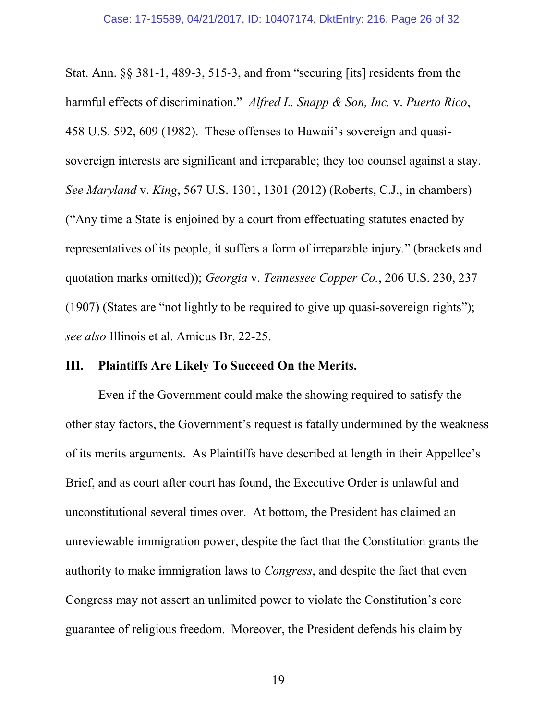Stat. Ann. §§ 381-1, 489-3, 515-3, and from "securing [its] residents from the harmful effects of discrimination." *Alfred L. Snapp & Son, Inc.* v. *Puerto Rico*, 458 U.S. 592, 609 (1982). These offenses to Hawaii's sovereign and quasisovereign interests are significant and irreparable; they too counsel against a stay. *See Maryland* v. *King*, 567 U.S. 1301, 1301 (2012) (Roberts, C.J., in chambers) ("Any time a State is enjoined by a court from effectuating statutes enacted by representatives of its people, it suffers a form of irreparable injury." (brackets and quotation marks omitted)); *Georgia* v. *Tennessee Copper Co.*, 206 U.S. 230, 237 (1907) (States are "not lightly to be required to give up quasi-sovereign rights"); *see also* Illinois et al. Amicus Br. 22-25.

### **III. Plaintiffs Are Likely To Succeed On the Merits.**

Even if the Government could make the showing required to satisfy the other stay factors, the Government's request is fatally undermined by the weakness of its merits arguments. As Plaintiffs have described at length in their Appellee's Brief, and as court after court has found, the Executive Order is unlawful and unconstitutional several times over. At bottom, the President has claimed an unreviewable immigration power, despite the fact that the Constitution grants the authority to make immigration laws to *Congress*, and despite the fact that even Congress may not assert an unlimited power to violate the Constitution's core guarantee of religious freedom. Moreover, the President defends his claim by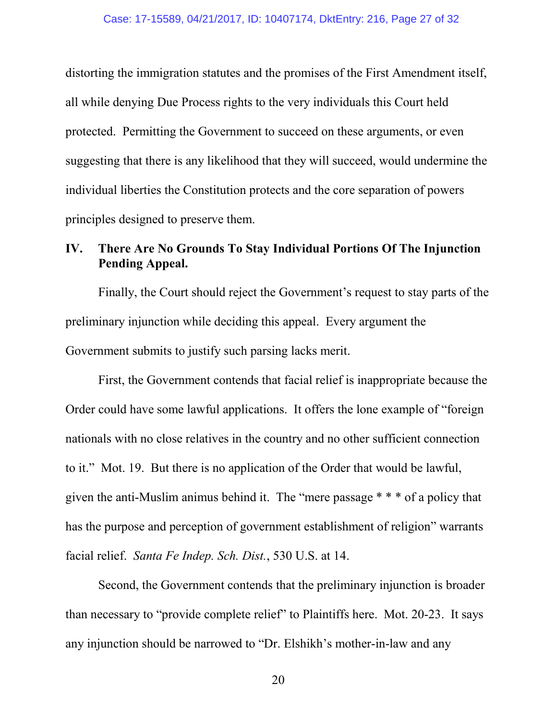distorting the immigration statutes and the promises of the First Amendment itself, all while denying Due Process rights to the very individuals this Court held protected. Permitting the Government to succeed on these arguments, or even suggesting that there is any likelihood that they will succeed, would undermine the individual liberties the Constitution protects and the core separation of powers principles designed to preserve them.

### **IV. There Are No Grounds To Stay Individual Portions Of The Injunction Pending Appeal.**

Finally, the Court should reject the Government's request to stay parts of the preliminary injunction while deciding this appeal. Every argument the Government submits to justify such parsing lacks merit.

First, the Government contends that facial relief is inappropriate because the Order could have some lawful applications. It offers the lone example of "foreign nationals with no close relatives in the country and no other sufficient connection to it." Mot. 19. But there is no application of the Order that would be lawful, given the anti-Muslim animus behind it. The "mere passage \* \* \* of a policy that has the purpose and perception of government establishment of religion" warrants facial relief. *Santa Fe Indep. Sch. Dist.*, 530 U.S. at 14.

Second, the Government contends that the preliminary injunction is broader than necessary to "provide complete relief" to Plaintiffs here. Mot. 20-23. It says any injunction should be narrowed to "Dr. Elshikh's mother-in-law and any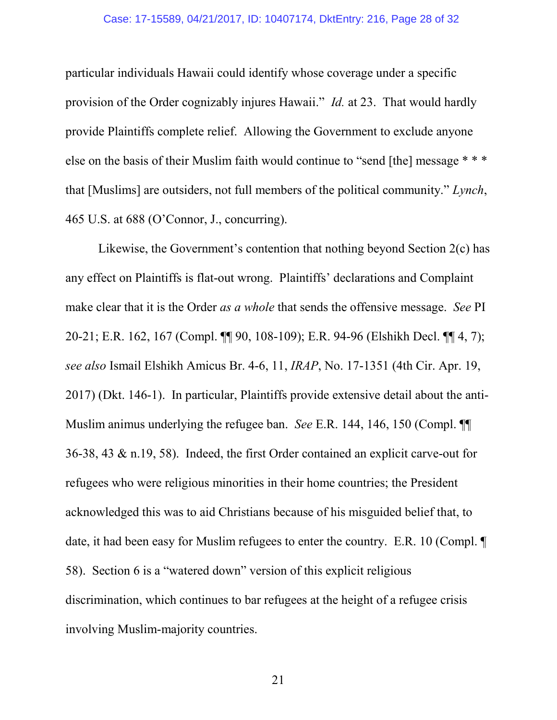#### Case: 17-15589, 04/21/2017, ID: 10407174, DktEntry: 216, Page 28 of 32

particular individuals Hawaii could identify whose coverage under a specific provision of the Order cognizably injures Hawaii." *Id.* at 23. That would hardly provide Plaintiffs complete relief. Allowing the Government to exclude anyone else on the basis of their Muslim faith would continue to "send [the] message \* \* \* that [Muslims] are outsiders, not full members of the political community." *Lynch*, 465 U.S. at 688 (O'Connor, J., concurring).

Likewise, the Government's contention that nothing beyond Section 2(c) has any effect on Plaintiffs is flat-out wrong. Plaintiffs' declarations and Complaint make clear that it is the Order *as a whole* that sends the offensive message. *See* PI 20-21; E.R. 162, 167 (Compl. ¶¶ 90, 108-109); E.R. 94-96 (Elshikh Decl. ¶¶ 4, 7); *see also* Ismail Elshikh Amicus Br. 4-6, 11, *IRAP*, No. 17-1351 (4th Cir. Apr. 19, 2017) (Dkt. 146-1). In particular, Plaintiffs provide extensive detail about the anti-Muslim animus underlying the refugee ban. *See* E.R. 144, 146, 150 (Compl. ¶¶ 36-38, 43 & n.19, 58). Indeed, the first Order contained an explicit carve-out for refugees who were religious minorities in their home countries; the President acknowledged this was to aid Christians because of his misguided belief that, to date, it had been easy for Muslim refugees to enter the country. E.R. 10 (Compl. ¶ 58). Section 6 is a "watered down" version of this explicit religious discrimination, which continues to bar refugees at the height of a refugee crisis involving Muslim-majority countries.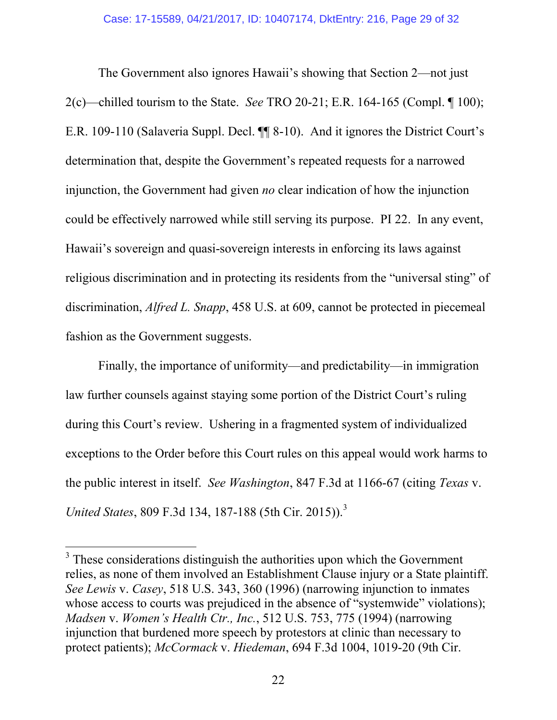The Government also ignores Hawaii's showing that Section 2—not just 2(c)—chilled tourism to the State. *See* TRO 20-21; E.R. 164-165 (Compl. ¶ 100); E.R. 109-110 (Salaveria Suppl. Decl. ¶¶ 8-10). And it ignores the District Court's determination that, despite the Government's repeated requests for a narrowed injunction, the Government had given *no* clear indication of how the injunction could be effectively narrowed while still serving its purpose. PI 22. In any event, Hawaii's sovereign and quasi-sovereign interests in enforcing its laws against religious discrimination and in protecting its residents from the "universal sting" of discrimination, *Alfred L. Snapp*, 458 U.S. at 609, cannot be protected in piecemeal fashion as the Government suggests.

Finally, the importance of uniformity—and predictability—in immigration law further counsels against staying some portion of the District Court's ruling during this Court's review. Ushering in a fragmented system of individualized exceptions to the Order before this Court rules on this appeal would work harms to the public interest in itself. *See Washington*, 847 F.3d at 1166-67 (citing *Texas* v. *United States*, 809 F.3d 134, 187-188 (5th Cir. 2015)).<sup>3</sup>

 $3$  These considerations distinguish the authorities upon which the Government relies, as none of them involved an Establishment Clause injury or a State plaintiff. *See Lewis* v. *Casey*, 518 U.S. 343, 360 (1996) (narrowing injunction to inmates whose access to courts was prejudiced in the absence of "systemwide" violations); *Madsen* v. *Women's Health Ctr., Inc.*, 512 U.S. 753, 775 (1994) (narrowing injunction that burdened more speech by protestors at clinic than necessary to protect patients); *McCormack* v. *Hiedeman*, 694 F.3d 1004, 1019-20 (9th Cir.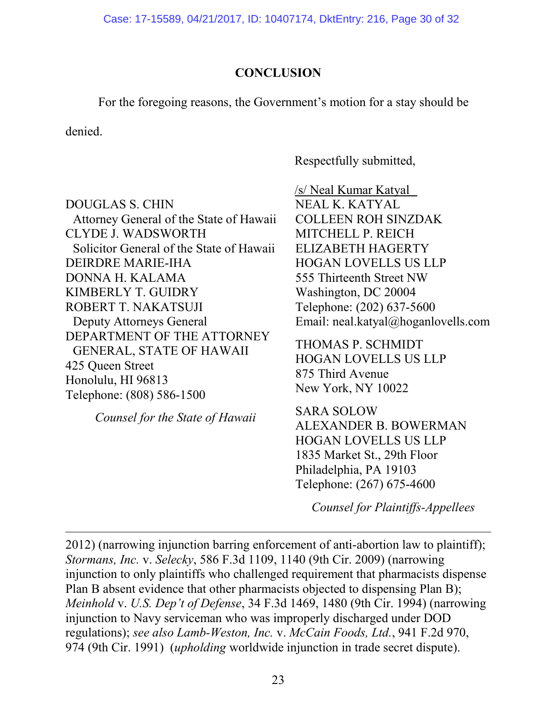Case: 17-15589, 04/21/2017, ID: 10407174, DktEntry: 216, Page 30 of 32

## **CONCLUSION**

For the foregoing reasons, the Government's motion for a stay should be

denied.

Respectfully submitted,

DOUGLAS S. CHIN Attorney General of the State of Hawaii CLYDE J. WADSWORTH Solicitor General of the State of Hawaii DEIRDRE MARIE-IHA DONNA H. KALAMA KIMBERLY T. GUIDRY ROBERT T. NAKATSUJI Deputy Attorneys General DEPARTMENT OF THE ATTORNEY GENERAL, STATE OF HAWAII 425 Queen Street Honolulu, HI 96813 Telephone: (808) 586-1500

*Counsel for the State of Hawaii*

/s/ Neal Kumar Katyal NEAL K. KATYAL COLLEEN ROH SINZDAK MITCHELL P. REICH ELIZABETH HAGERTY HOGAN LOVELLS US LLP 555 Thirteenth Street NW Washington, DC 20004 Telephone: (202) 637-5600 Email: neal.katyal@hoganlovells.com

THOMAS P. SCHMIDT HOGAN LOVELLS US LLP 875 Third Avenue New York, NY 10022

SARA SOLOW ALEXANDER B. BOWERMAN HOGAN LOVELLS US LLP 1835 Market St., 29th Floor Philadelphia, PA 19103 Telephone: (267) 675-4600

*Counsel for Plaintiffs-Appellees*

2012) (narrowing injunction barring enforcement of anti-abortion law to plaintiff); *Stormans, Inc.* v. *Selecky*, 586 F.3d 1109, 1140 (9th Cir. 2009) (narrowing injunction to only plaintiffs who challenged requirement that pharmacists dispense Plan B absent evidence that other pharmacists objected to dispensing Plan B); *Meinhold* v. *U.S. Dep't of Defense*, 34 F.3d 1469, 1480 (9th Cir. 1994) (narrowing injunction to Navy serviceman who was improperly discharged under DOD regulations); *see also Lamb-Weston, Inc.* v. *McCain Foods, Ltd.*, 941 F.2d 970, 974 (9th Cir. 1991) (*upholding* worldwide injunction in trade secret dispute).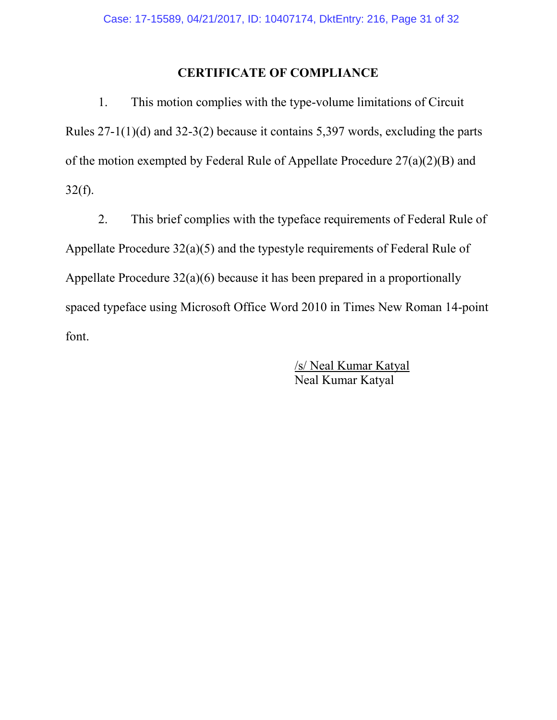### **CERTIFICATE OF COMPLIANCE**

1. This motion complies with the type-volume limitations of Circuit Rules 27-1(1)(d) and 32-3(2) because it contains 5,397 words, excluding the parts of the motion exempted by Federal Rule of Appellate Procedure 27(a)(2)(B) and  $32(f)$ .

2. This brief complies with the typeface requirements of Federal Rule of Appellate Procedure 32(a)(5) and the typestyle requirements of Federal Rule of Appellate Procedure 32(a)(6) because it has been prepared in a proportionally spaced typeface using Microsoft Office Word 2010 in Times New Roman 14-point font.

> /s/ Neal Kumar Katyal Neal Kumar Katyal